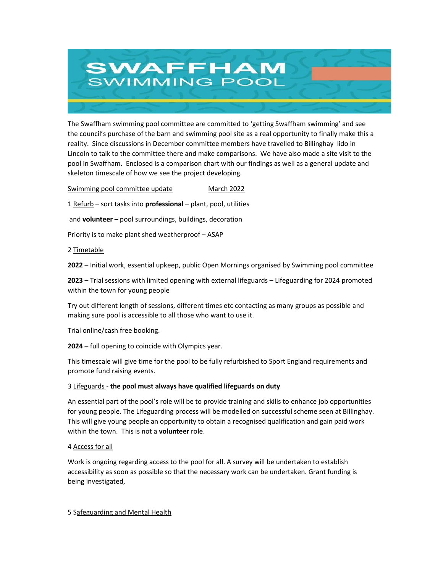

The Swaffham swimming pool committee are committed to 'getting Swaffham swimming' and see the council's purchase of the barn and swimming pool site as a real opportunity to finally make this a reality. Since discussions in December committee members have travelled to Billinghay lido in Lincoln to talk to the committee there and make comparisons. We have also made a site visit to the pool in Swaffham. Enclosed is a comparison chart with our findings as well as a general update and skeleton timescale of how we see the project developing.

Swimming pool committee update March 2022

1 Refurb – sort tasks into **professional** – plant, pool, utilities

and volunteer – pool surroundings, buildings, decoration

Priority is to make plant shed weatherproof – ASAP

2 Timetable

2022 – Initial work, essential upkeep, public Open Mornings organised by Swimming pool committee

2023 – Trial sessions with limited opening with external lifeguards – Lifeguarding for 2024 promoted within the town for young people

Try out different length of sessions, different times etc contacting as many groups as possible and making sure pool is accessible to all those who want to use it.

Trial online/cash free booking.

2024 – full opening to coincide with Olympics year.

This timescale will give time for the pool to be fully refurbished to Sport England requirements and promote fund raising events.

## 3 Lifeguards - the pool must always have qualified lifeguards on duty

An essential part of the pool's role will be to provide training and skills to enhance job opportunities for young people. The Lifeguarding process will be modelled on successful scheme seen at Billinghay. This will give young people an opportunity to obtain a recognised qualification and gain paid work within the town. This is not a **volunteer** role.

## 4 Access for all

Work is ongoing regarding access to the pool for all. A survey will be undertaken to establish accessibility as soon as possible so that the necessary work can be undertaken. Grant funding is being investigated,

## 5 Safeguarding and Mental Health